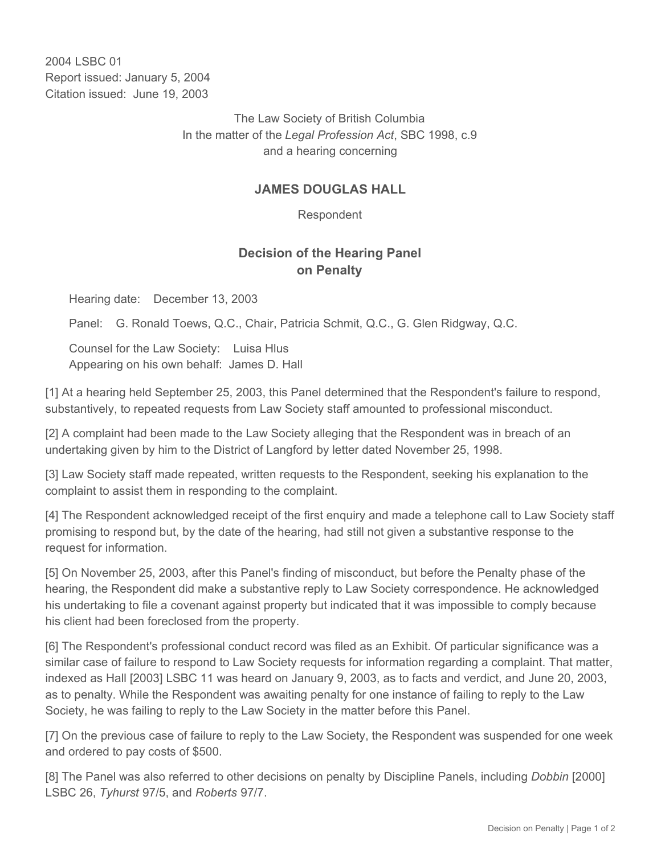2004 LSBC 01 Report issued: January 5, 2004 Citation issued: June 19, 2003

> The Law Society of British Columbia In the matter of the *Legal Profession Act*, SBC 1998, c.9 and a hearing concerning

## **JAMES DOUGLAS HALL**

Respondent

## **Decision of the Hearing Panel on Penalty**

Hearing date: December 13, 2003

Panel: G. Ronald Toews, Q.C., Chair, Patricia Schmit, Q.C., G. Glen Ridgway, Q.C.

Counsel for the Law Society: Luisa Hlus Appearing on his own behalf: James D. Hall

[1] At a hearing held September 25, 2003, this Panel determined that the Respondent's failure to respond, substantively, to repeated requests from Law Society staff amounted to professional misconduct.

[2] A complaint had been made to the Law Society alleging that the Respondent was in breach of an undertaking given by him to the District of Langford by letter dated November 25, 1998.

[3] Law Society staff made repeated, written requests to the Respondent, seeking his explanation to the complaint to assist them in responding to the complaint.

[4] The Respondent acknowledged receipt of the first enquiry and made a telephone call to Law Society staff promising to respond but, by the date of the hearing, had still not given a substantive response to the request for information.

[5] On November 25, 2003, after this Panel's finding of misconduct, but before the Penalty phase of the hearing, the Respondent did make a substantive reply to Law Society correspondence. He acknowledged his undertaking to file a covenant against property but indicated that it was impossible to comply because his client had been foreclosed from the property.

[6] The Respondent's professional conduct record was filed as an Exhibit. Of particular significance was a similar case of failure to respond to Law Society requests for information regarding a complaint. That matter, indexed as Hall [2003] LSBC 11 was heard on January 9, 2003, as to facts and verdict, and June 20, 2003, as to penalty. While the Respondent was awaiting penalty for one instance of failing to reply to the Law Society, he was failing to reply to the Law Society in the matter before this Panel.

[7] On the previous case of failure to reply to the Law Society, the Respondent was suspended for one week and ordered to pay costs of \$500.

[8] The Panel was also referred to other decisions on penalty by Discipline Panels, including *Dobbin* [2000] LSBC 26, *Tyhurst* 97/5, and *Roberts* 97/7.